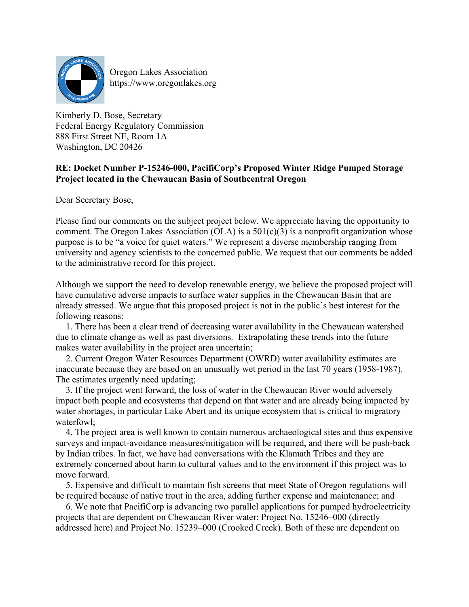

Oregon Lakes Association https://www.oregonlakes.org

Kimberly D. Bose, Secretary Federal Energy Regulatory Commission 888 First Street NE, Room 1A Washington, DC 20426

## **RE: Docket Number P-15246-000, PacifiCorp's Proposed Winter Ridge Pumped Storage Project located in the Chewaucan Basin of Southcentral Oregon**

Dear Secretary Bose,

Please find our comments on the subject project below. We appreciate having the opportunity to comment. The Oregon Lakes Association (OLA) is a  $501(c)(3)$  is a nonprofit organization whose purpose is to be "a voice for quiet waters." We represent a diverse membership ranging from university and agency scientists to the concerned public. We request that our comments be added to the administrative record for this project.

Although we support the need to develop renewable energy, we believe the proposed project will have cumulative adverse impacts to surface water supplies in the Chewaucan Basin that are already stressed. We argue that this proposed project is not in the public's best interest for the following reasons:

1. There has been a clear trend of decreasing water availability in the Chewaucan watershed due to climate change as well as past diversions. Extrapolating these trends into the future makes water availability in the project area uncertain;

2. Current Oregon Water Resources Department (OWRD) water availability estimates are inaccurate because they are based on an unusually wet period in the last 70 years (1958-1987). The estimates urgently need updating;

3. If the project went forward, the loss of water in the Chewaucan River would adversely impact both people and ecosystems that depend on that water and are already being impacted by water shortages, in particular Lake Abert and its unique ecosystem that is critical to migratory waterfowl;

4. The project area is well known to contain numerous archaeological sites and thus expensive surveys and impact-avoidance measures/mitigation will be required, and there will be push-back by Indian tribes. In fact, we have had conversations with the Klamath Tribes and they are extremely concerned about harm to cultural values and to the environment if this project was to move forward.

5. Expensive and difficult to maintain fish screens that meet State of Oregon regulations will be required because of native trout in the area, adding further expense and maintenance; and

6. We note that PacifiCorp is advancing two parallel applications for pumped hydroelectricity projects that are dependent on Chewaucan River water: Project No. 15246–000 (directly addressed here) and Project No. 15239–000 (Crooked Creek). Both of these are dependent on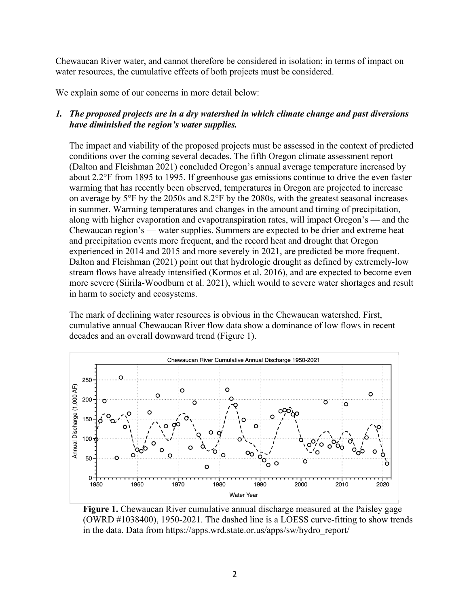Chewaucan River water, and cannot therefore be considered in isolation; in terms of impact on water resources, the cumulative effects of both projects must be considered.

We explain some of our concerns in more detail below:

# *1. The proposed projects are in a dry watershed in which climate change and past diversions have diminished the region's water supplies.*

The impact and viability of the proposed projects must be assessed in the context of predicted conditions over the coming several decades. The fifth Oregon climate assessment report (Dalton and Fleishman 2021) concluded Oregon's annual average temperature increased by about 2.2°F from 1895 to 1995. If greenhouse gas emissions continue to drive the even faster warming that has recently been observed, temperatures in Oregon are projected to increase on average by 5°F by the 2050s and 8.2°F by the 2080s, with the greatest seasonal increases in summer. Warming temperatures and changes in the amount and timing of precipitation, along with higher evaporation and evapotranspiration rates, will impact Oregon's — and the Chewaucan region's — water supplies. Summers are expected to be drier and extreme heat and precipitation events more frequent, and the record heat and drought that Oregon experienced in 2014 and 2015 and more severely in 2021, are predicted be more frequent. Dalton and Fleishman (2021) point out that hydrologic drought as defined by extremely-low stream flows have already intensified (Kormos et al. 2016), and are expected to become even more severe (Siirila-Woodburn et al. 2021), which would to severe water shortages and result in harm to society and ecosystems.

The mark of declining water resources is obvious in the Chewaucan watershed. First, cumulative annual Chewaucan River flow data show a dominance of low flows in recent decades and an overall downward trend (Figure 1).



**Figure 1.** Chewaucan River cumulative annual discharge measured at the Paisley gage (OWRD #1038400), 1950-2021. The dashed line is a LOESS curve-fitting to show trends in the data. Data from https://apps.wrd.state.or.us/apps/sw/hydro\_report/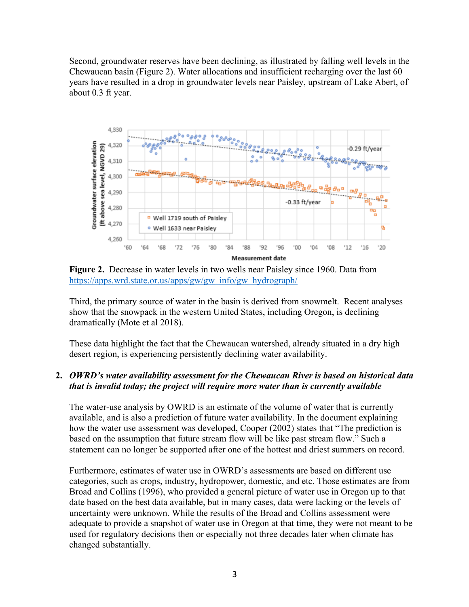Second, groundwater reserves have been declining, as illustrated by falling well levels in the Chewaucan basin (Figure 2). Water allocations and insufficient recharging over the last 60 years have resulted in a drop in groundwater levels near Paisley, upstream of Lake Abert, of about 0.3 ft year.



**Figure 2.** Decrease in water levels in two wells near Paisley since 1960. Data from https://apps.wrd.state.or.us/apps/gw/gw\_info/gw\_hydrograph/

Third, the primary source of water in the basin is derived from snowmelt. Recent analyses show that the snowpack in the western United States, including Oregon, is declining dramatically (Mote et al 2018).

These data highlight the fact that the Chewaucan watershed, already situated in a dry high desert region, is experiencing persistently declining water availability.

### **2.** *OWRD's water availability assessment for the Chewaucan River is based on historical data that is invalid today; the project will require more water than is currently available*

The water-use analysis by OWRD is an estimate of the volume of water that is currently available, and is also a prediction of future water availability. In the document explaining how the water use assessment was developed, Cooper (2002) states that "The prediction is based on the assumption that future stream flow will be like past stream flow." Such a statement can no longer be supported after one of the hottest and driest summers on record.

Furthermore, estimates of water use in OWRD's assessments are based on different use categories, such as crops, industry, hydropower, domestic, and etc. Those estimates are from Broad and Collins (1996), who provided a general picture of water use in Oregon up to that date based on the best data available, but in many cases, data were lacking or the levels of uncertainty were unknown. While the results of the Broad and Collins assessment were adequate to provide a snapshot of water use in Oregon at that time, they were not meant to be used for regulatory decisions then or especially not three decades later when climate has changed substantially.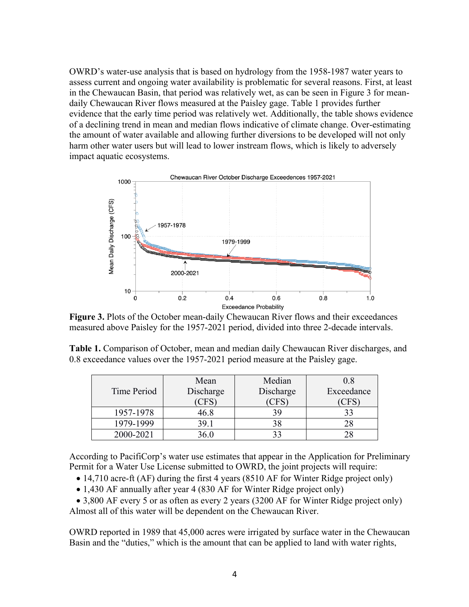OWRD's water-use analysis that is based on hydrology from the 1958-1987 water years to assess current and ongoing water availability is problematic for several reasons. First, at least in the Chewaucan Basin, that period was relatively wet, as can be seen in Figure 3 for meandaily Chewaucan River flows measured at the Paisley gage. Table 1 provides further evidence that the early time period was relatively wet. Additionally, the table shows evidence of a declining trend in mean and median flows indicative of climate change. Over-estimating the amount of water available and allowing further diversions to be developed will not only harm other water users but will lead to lower instream flows, which is likely to adversely impact aquatic ecosystems.



**Figure 3.** Plots of the October mean-daily Chewaucan River flows and their exceedances measured above Paisley for the 1957-2021 period, divided into three 2-decade intervals.

**Table 1.** Comparison of October, mean and median daily Chewaucan River discharges, and 0.8 exceedance values over the 1957-2021 period measure at the Paisley gage.

|             | Mean       | Median    | 0.8        |
|-------------|------------|-----------|------------|
| Time Period | Discharge  | Discharge | Exceedance |
|             | <b>CFS</b> | 'CFS,     | CFS        |
| 1957-1978   | 46.8       | 39        |            |
| 1979-1999   | 39.1       | 38        |            |
| 2000-2021   | 36.0       |           |            |

According to PacifiCorp's water use estimates that appear in the Application for Preliminary Permit for a Water Use License submitted to OWRD, the joint projects will require:

- 14,710 acre-ft (AF) during the first 4 years (8510 AF for Winter Ridge project only)
- 1,430 AF annually after year 4 (830 AF for Winter Ridge project only)

• 3,800 AF every 5 or as often as every 2 years (3200 AF for Winter Ridge project only) Almost all of this water will be dependent on the Chewaucan River.

OWRD reported in 1989 that 45,000 acres were irrigated by surface water in the Chewaucan Basin and the "duties," which is the amount that can be applied to land with water rights,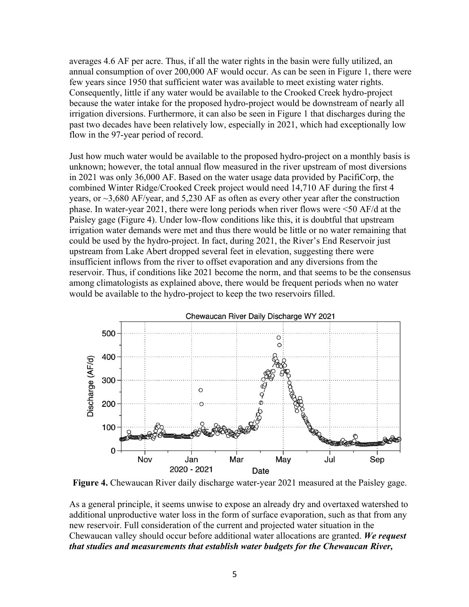averages 4.6 AF per acre. Thus, if all the water rights in the basin were fully utilized, an annual consumption of over 200,000 AF would occur. As can be seen in Figure 1, there were few years since 1950 that sufficient water was available to meet existing water rights. Consequently, little if any water would be available to the Crooked Creek hydro-project because the water intake for the proposed hydro-project would be downstream of nearly all irrigation diversions. Furthermore, it can also be seen in Figure 1 that discharges during the past two decades have been relatively low, especially in 2021, which had exceptionally low flow in the 97-year period of record.

Just how much water would be available to the proposed hydro-project on a monthly basis is unknown; however, the total annual flow measured in the river upstream of most diversions in 2021 was only 36,000 AF. Based on the water usage data provided by PacifiCorp, the combined Winter Ridge/Crooked Creek project would need 14,710 AF during the first 4 years, or ~3,680 AF/year, and 5,230 AF as often as every other year after the construction phase. In water-year 2021, there were long periods when river flows were <50 AF/d at the Paisley gage (Figure 4). Under low-flow conditions like this, it is doubtful that upstream irrigation water demands were met and thus there would be little or no water remaining that could be used by the hydro-project. In fact, during 2021, the River's End Reservoir just upstream from Lake Abert dropped several feet in elevation, suggesting there were insufficient inflows from the river to offset evaporation and any diversions from the reservoir. Thus, if conditions like 2021 become the norm, and that seems to be the consensus among climatologists as explained above, there would be frequent periods when no water would be available to the hydro-project to keep the two reservoirs filled.



**Figure 4.** Chewaucan River daily discharge water-year 2021 measured at the Paisley gage.

As a general principle, it seems unwise to expose an already dry and overtaxed watershed to additional unproductive water loss in the form of surface evaporation, such as that from any new reservoir. Full consideration of the current and projected water situation in the Chewaucan valley should occur before additional water allocations are granted. *We request that studies and measurements that establish water budgets for the Chewaucan River,*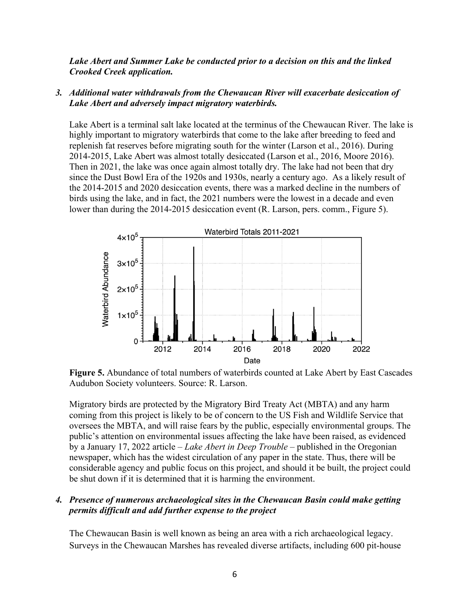*Lake Abert and Summer Lake be conducted prior to a decision on this and the linked Crooked Creek application.* 

### *3.**Additional water withdrawals from the Chewaucan River will exacerbate desiccation of Lake Abert and adversely impact migratory waterbirds.*

Lake Abert is a terminal salt lake located at the terminus of the Chewaucan River. The lake is highly important to migratory waterbirds that come to the lake after breeding to feed and replenish fat reserves before migrating south for the winter (Larson et al., 2016). During 2014-2015, Lake Abert was almost totally desiccated (Larson et al., 2016, Moore 2016). Then in 2021, the lake was once again almost totally dry. The lake had not been that dry since the Dust Bowl Era of the 1920s and 1930s, nearly a century ago. As a likely result of the 2014-2015 and 2020 desiccation events, there was a marked decline in the numbers of birds using the lake, and in fact, the 2021 numbers were the lowest in a decade and even lower than during the 2014-2015 desiccation event (R. Larson, pers. comm., Figure 5).



**Figure 5.** Abundance of total numbers of waterbirds counted at Lake Abert by East Cascades Audubon Society volunteers. Source: R. Larson.

Migratory birds are protected by the Migratory Bird Treaty Act (MBTA) and any harm coming from this project is likely to be of concern to the US Fish and Wildlife Service that oversees the MBTA, and will raise fears by the public, especially environmental groups. The public's attention on environmental issues affecting the lake have been raised, as evidenced by a January 17, 2022 article – *Lake Abert in Deep Trouble* – published in the Oregonian newspaper, which has the widest circulation of any paper in the state. Thus, there will be considerable agency and public focus on this project, and should it be built, the project could be shut down if it is determined that it is harming the environment.

### *4. Presence of numerous archaeological sites in the Chewaucan Basin could make getting permits difficult and add further expense to the project*

The Chewaucan Basin is well known as being an area with a rich archaeological legacy. Surveys in the Chewaucan Marshes has revealed diverse artifacts, including 600 pit-house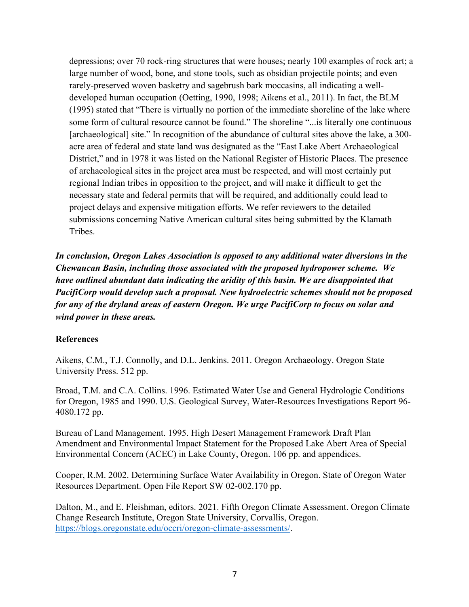depressions; over 70 rock-ring structures that were houses; nearly 100 examples of rock art; a large number of wood, bone, and stone tools, such as obsidian projectile points; and even rarely-preserved woven basketry and sagebrush bark moccasins, all indicating a welldeveloped human occupation (Oetting, 1990, 1998; Aikens et al., 2011). In fact, the BLM (1995) stated that "There is virtually no portion of the immediate shoreline of the lake where some form of cultural resource cannot be found." The shoreline "...is literally one continuous [archaeological] site." In recognition of the abundance of cultural sites above the lake, a 300 acre area of federal and state land was designated as the "East Lake Abert Archaeological District," and in 1978 it was listed on the National Register of Historic Places. The presence of archaeological sites in the project area must be respected, and will most certainly put regional Indian tribes in opposition to the project, and will make it difficult to get the necessary state and federal permits that will be required, and additionally could lead to project delays and expensive mitigation efforts. We refer reviewers to the detailed submissions concerning Native American cultural sites being submitted by the Klamath Tribes.

*In conclusion, Oregon Lakes Association is opposed to any additional water diversions in the Chewaucan Basin, including those associated with the proposed hydropower scheme. We have outlined abundant data indicating the aridity of this basin. We are disappointed that PacifiCorp would develop such a proposal. New hydroelectric schemes should not be proposed for any of the dryland areas of eastern Oregon. We urge PacifiCorp to focus on solar and wind power in these areas.*

#### **References**

Aikens, C.M., T.J. Connolly, and D.L. Jenkins. 2011. Oregon Archaeology. Oregon State University Press. 512 pp.

Broad, T.M. and C.A. Collins. 1996. Estimated Water Use and General Hydrologic Conditions for Oregon, 1985 and 1990. U.S. Geological Survey, Water-Resources Investigations Report 96- 4080.172 pp.

Bureau of Land Management. 1995. High Desert Management Framework Draft Plan Amendment and Environmental Impact Statement for the Proposed Lake Abert Area of Special Environmental Concern (ACEC) in Lake County, Oregon. 106 pp. and appendices.

Cooper, R.M. 2002. Determining Surface Water Availability in Oregon. State of Oregon Water Resources Department. Open File Report SW 02-002.170 pp.

Dalton, M., and E. Fleishman, editors. 2021. Fifth Oregon Climate Assessment. Oregon Climate Change Research Institute, Oregon State University, Corvallis, Oregon. https://blogs.oregonstate.edu/occri/oregon-climate-assessments/.